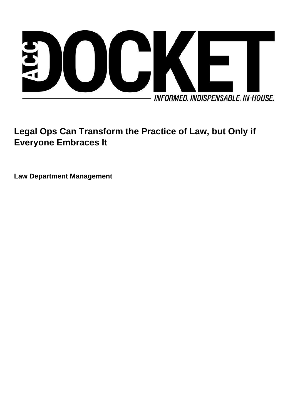

# **Legal Ops Can Transform the Practice of Law, but Only if Everyone Embraces It**

**Law Department Management**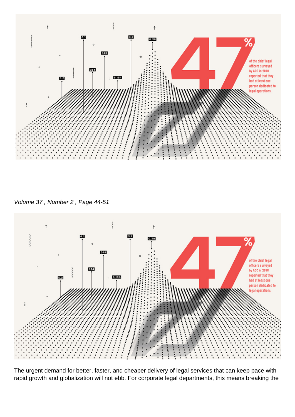

Volume 37 , Number 2 , Page 44-51



The urgent demand for better, faster, and cheaper delivery of legal services that can keep pace with rapid growth and globalization will not ebb. For corporate legal departments, this means breaking the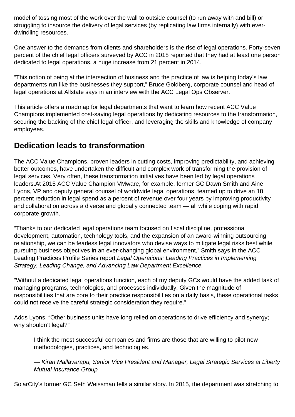model of tossing most of the work over the wall to outside counsel (to run away with and bill) or struggling to insource the delivery of legal services (by replicating law firms internally) with everdwindling resources.

One answer to the demands from clients and shareholders is the rise of legal operations. Forty-seven percent of the chief legal officers surveyed by ACC in 2018 reported that they had at least one person dedicated to legal operations, a huge increase from 21 percent in 2014.

"This notion of being at the intersection of business and the practice of law is helping today's law departments run like the businesses they support," Bruce Goldberg, corporate counsel and head of legal operations at Allstate says in an interview with the ACC Legal Ops Observer.

This article offers a roadmap for legal departments that want to learn how recent ACC Value Champions implemented cost-saving legal operations by dedicating resources to the transformation, securing the backing of the chief legal officer, and leveraging the skills and knowledge of company employees.

### **Dedication leads to transformation**

The ACC Value Champions, proven leaders in cutting costs, improving predictability, and achieving better outcomes, have undertaken the difficult and complex work of transforming the provision of legal services. Very often, these transformation initiatives have been led by legal operations leaders.At 2015 ACC Value Champion VMware, for example, former GC Dawn Smith and Aine Lyons, VP and deputy general counsel of worldwide legal operations, teamed up to drive an 18 percent reduction in legal spend as a percent of revenue over four years by improving productivity and collaboration across a diverse and globally connected team — all while coping with rapid corporate growth.

"Thanks to our dedicated legal operations team focused on fiscal discipline, professional development, automation, technology tools, and the expansion of an award-winning outsourcing relationship, we can be fearless legal innovators who devise ways to mitigate legal risks best while pursuing business objectives in an ever-changing global environment," Smith says in the ACC Leading Practices Profile Series report Legal Operations: Leading Practices in Implementing Strategy, Leading Change, and Advancing Law Department Excellence.

"Without a dedicated legal operations function, each of my deputy GCs would have the added task of managing programs, technologies, and processes individually. Given the magnitude of responsibilities that are core to their practice responsibilities on a daily basis, these operational tasks could not receive the careful strategic consideration they require."

Adds Lyons, "Other business units have long relied on operations to drive efficiency and synergy; why shouldn't legal?"

I think the most successful companies and firms are those that are willing to pilot new methodologies, practices, and technologies.

— Kiran Mallavarapu, Senior Vice President and Manager, Legal Strategic Services at Liberty Mutual Insurance Group

SolarCity's former GC Seth Weissman tells a similar story. In 2015, the department was stretching to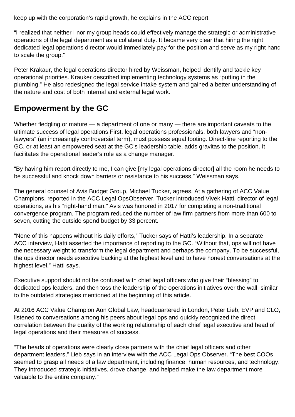keep up with the corporation's rapid growth, he explains in the ACC report.

"I realized that neither I nor my group heads could effectively manage the strategic or administrative operations of the legal department as a collateral duty. It became very clear that hiring the right dedicated legal operations director would immediately pay for the position and serve as my right hand to scale the group."

Peter Krakaur, the legal operations director hired by Weissman, helped identify and tackle key operational priorities. Krauker described implementing technology systems as "putting in the plumbing." He also redesigned the legal service intake system and gained a better understanding of the nature and cost of both internal and external legal work.

## **Empowerment by the GC**

Whether fledgling or mature — a department of one or many — there are important caveats to the ultimate success of legal operations.First, legal operations professionals, both lawyers and "nonlawyers" (an increasingly controversial term), must possess equal footing. Direct-line reporting to the GC, or at least an empowered seat at the GC's leadership table, adds gravitas to the position. It facilitates the operational leader's role as a change manager.

"By having him report directly to me, I can give [my legal operations director] all the room he needs to be successful and knock down barriers or resistance to his success," Weissman says.

The general counsel of Avis Budget Group, Michael Tucker, agrees. At a gathering of ACC Value Champions, reported in the ACC Legal OpsObserver, Tucker introduced Vivek Hatti, director of legal operations, as his "right-hand man." Avis was honored in 2017 for completing a non-traditional convergence program. The program reduced the number of law firm partners from more than 600 to seven, cutting the outside spend budget by 33 percent.

"None of this happens without his daily efforts," Tucker says of Hatti's leadership. In a separate ACC interview, Hatti asserted the importance of reporting to the GC. "Without that, ops will not have the necessary weight to transform the legal department and perhaps the company. To be successful, the ops director needs executive backing at the highest level and to have honest conversations at the highest level," Hatti says.

Executive support should not be confused with chief legal officers who give their "blessing" to dedicated ops leaders, and then toss the leadership of the operations initiatives over the wall, similar to the outdated strategies mentioned at the beginning of this article.

At 2016 ACC Value Champion Aon Global Law, headquartered in London, Peter Lieb, EVP and CLO, listened to conversations among his peers about legal ops and quickly recognized the direct correlation between the quality of the working relationship of each chief legal executive and head of legal operations and their measures of success.

"The heads of operations were clearly close partners with the chief legal officers and other department leaders," Lieb says in an interview with the ACC Legal Ops Observer. "The best COOs seemed to grasp all needs of a law department, including finance, human resources, and technology. They introduced strategic initiatives, drove change, and helped make the law department more valuable to the entire company."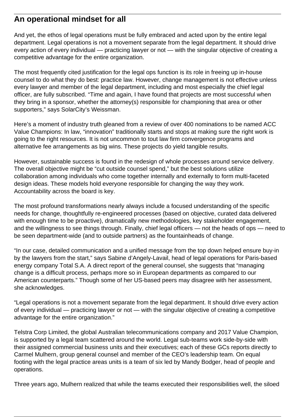### **An operational mindset for all**

And yet, the ethos of legal operations must be fully embraced and acted upon by the entire legal department. Legal operations is not a movement separate from the legal department. It should drive every action of every individual — practicing lawyer or not — with the singular objective of creating a competitive advantage for the entire organization.

The most frequently cited justification for the legal ops function is its role in freeing up in-house counsel to do what they do best: practice law. However, change management is not effective unless every lawyer and member of the legal department, including and most especially the chief legal officer, are fully subscribed. "Time and again, I have found that projects are most successful when they bring in a sponsor, whether the attorney(s) responsible for championing that area or other supporters," says SolarCity's Weissman.

Here's a moment of industry truth gleaned from a review of over 400 nominations to be named ACC Value Champions: In law, "innovation" traditionally starts and stops at making sure the right work is going to the right resources. It is not uncommon to tout law firm convergence programs and alternative fee arrangements as big wins. These projects do yield tangible results.

However, sustainable success is found in the redesign of whole processes around service delivery. The overall objective might be "cut outside counsel spend," but the best solutions utilize collaboration among individuals who come together internally and externally to form multi-faceted design ideas. These models hold everyone responsible for changing the way they work. Accountability across the board is key.

The most profound transformations nearly always include a focused understanding of the specific needs for change, thoughtfully re-engineered processes (based on objective, curated data delivered with enough time to be proactive), dramatically new methodologies, key stakeholder engagement, and the willingness to see things through. Finally, chief legal officers — not the heads of ops — need to be seen department-wide (and to outside partners) as the fountainheads of change.

"In our case, detailed communication and a unified message from the top down helped ensure buy-in by the lawyers from the start," says Sabine d'Angely-Lavail, head of legal operations for Paris-based energy company Total S.A. A direct report of the general counsel, she suggests that "managing change is a difficult process, perhaps more so in European departments as compared to our American counterparts." Though some of her US-based peers may disagree with her assessment, she acknowledges.

"Legal operations is not a movement separate from the legal department. It should drive every action of every individual — practicing lawyer or not — with the singular objective of creating a competitive advantage for the entire organization."

Telstra Corp Limited, the global Australian telecommunications company and 2017 Value Champion, is supported by a legal team scattered around the world. Legal sub-teams work side-by-side with their assigned commercial business units and their executives; each of these GCs reports directly to Carmel Mulhern, group general counsel and member of the CEO's leadership team. On equal footing with the legal practice areas units is a team of six led by Mandy Bodger, head of people and operations.

Three years ago, Mulhern realized that while the teams executed their responsibilities well, the siloed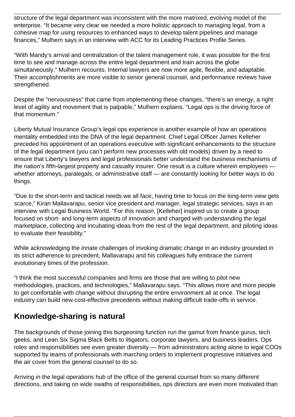structure of the legal department was inconsistent with the more matrixed, evolving model of the enterprise. "It became very clear we needed a more holistic approach to managing legal, from a cohesive map for using resources to enhanced ways to develop talent pipelines and manage finances," Mulhern says in an interview with ACC for its Leading Practices Profile Series.

"With Mandy's arrival and centralization of the talent management role, it was possible for the first time to see and manage across the entire legal department and train across the globe simultaneously," Mulhern recounts. Internal lawyers are now more agile, flexible, and adaptable. Their accomplishments are more visible to senior general counsel, and performance reviews have strengthened.

Despite the "nervousness" that came from implementing these changes, "there's an energy, a right level of agility and movement that is palpable," Mulhern explains. "Legal ops is the driving force of that momentum."

Liberty Mutual Insurance Group's legal ops experience is another example of how an operations mentality embedded into the DNA of the legal department. Chief Legal Officer James Kelleher preceded his appointment of an operations executive with significant enhancements to the structure of the legal department (you can't perform new processes with old models) driven by a need to ensure that Liberty's lawyers and legal professionals better understand the business mechanisms of the nation's fifth-largest property and casualty insurer. One result is a culture wherein employees whether attorneys, paralegals, or administrative staff — are constantly looking for better ways to do things.

"Due to the short-term and tactical needs we all face, having time to focus on the long-term view gets scarce," Kiran Mallavarapu, senior vice president and manager, legal strategic services, says in an interview with Legal Business World. "For this reason, [Kelleher] inspired us to create a group focused on short- and long-term aspects of innovation and charged with understanding the legal marketplace, collecting and incubating ideas from the rest of the legal department, and piloting ideas to evaluate their feasibility."

While acknowledging the innate challenges of invoking dramatic change in an industry grounded in its strict adherence to precedent, Mallavarapu and his colleagues fully embrace the current evolutionary times of the profession.

"I think the most successful companies and firms are those that are willing to pilot new methodologies, practices, and technologies," Mallavarapu says. "This allows more and more people to get comfortable with change without disrupting the entire environment all at once. The legal industry can build new cost-effective precedents without making difficult trade-offs in service.

### **Knowledge-sharing is natural**

The backgrounds of those joining this burgeoning function run the gamut from finance gurus, tech geeks, and Lean Six Sigma Black Belts to litigators, corporate lawyers, and business leaders. Ops roles and responsibilities see even greater diversity — from administrators acting alone to legal COOs supported by teams of professionals with marching orders to implement progressive initiatives and the air cover from the general counsel to do so.

Arriving in the legal operations hub of the office of the general counsel from so many different directions, and taking on wide swaths of responsibilities, ops directors are even more motivated than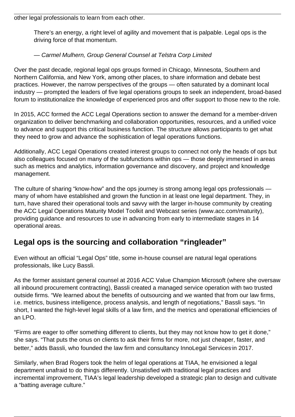other legal professionals to learn from each other.

There's an energy, a right level of agility and movement that is palpable. Legal ops is the driving force of that momentum.

#### — Carmel Mulhern, Group General Counsel at Telstra Corp Limited

Over the past decade, regional legal ops groups formed in Chicago, Minnesota, Southern and Northern California, and New York, among other places, to share information and debate best practices. However, the narrow perspectives of the groups — often saturated by a dominant local industry — prompted the leaders of five legal operations groups to seek an independent, broad-based forum to institutionalize the knowledge of experienced pros and offer support to those new to the role.

In 2015, ACC formed the ACC Legal Operations section to answer the demand for a member-driven organization to deliver benchmarking and collaboration opportunities, resources, and a unified voice to advance and support this critical business function. The structure allows participants to get what they need to grow and advance the sophistication of legal operations functions.

Additionally, ACC Legal Operations created interest groups to connect not only the heads of ops but also colleagues focused on many of the subfunctions within ops — those deeply immersed in areas such as metrics and analytics, information governance and discovery, and project and knowledge management.

The culture of sharing "know-how" and the ops journey is strong among legal ops professionals many of whom have established and grown the function in at least one legal department. They, in turn, have shared their operational tools and savvy with the larger in-house community by creating the ACC Legal Operations Maturity Model Toolkit and Webcast series (www.acc.com/maturity), providing guidance and resources to use in advancing from early to intermediate stages in 14 operational areas.

### **Legal ops is the sourcing and collaboration "ringleader"**

Even without an official "Legal Ops" title, some in-house counsel are natural legal operations professionals, like Lucy Bassli.

As the former assistant general counsel at 2016 ACC Value Champion Microsoft (where she oversaw all inbound procurement contracting), Bassli created a managed service operation with two trusted outside firms. "We learned about the benefits of outsourcing and we wanted that from our law firms, i.e. metrics, business intelligence, process analysis, and length of negotiations," Bassli says. "In short, I wanted the high-level legal skills of a law firm, and the metrics and operational efficiencies of an LPO.

"Firms are eager to offer something different to clients, but they may not know how to get it done," she says. "That puts the onus on clients to ask their firms for more, not just cheaper, faster, and better," adds Bassli, who founded the law firm and consultancy InnoLegal Services [i](www.innolegalservices.com)n 2017.

Similarly, when Brad Rogers took the helm of legal operations at TIAA, he envisioned a legal department unafraid to do things differently. Unsatisfied with traditional legal practices and incremental improvement, TIAA's legal leadership developed a strategic plan to design and cultivate a "batting average culture."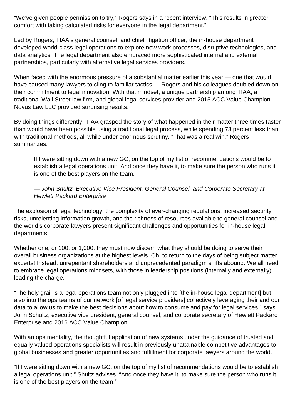"We've given people permission to try," Rogers says in a recent interview. "This results in greater comfort with taking calculated risks for everyone in the legal department."

Led by Rogers, TIAA's general counsel, and chief litigation officer, the in-house department developed world-class legal operations to explore new work processes, disruptive technologies, and data analytics. The legal department also embraced more sophisticated internal and external partnerships, particularly with alternative legal services providers.

When faced with the enormous pressure of a substantial matter earlier this year — one that would have caused many lawyers to cling to familiar tactics — Rogers and his colleagues doubled down on their commitment to legal innovation. With that mindset, a unique partnership among TIAA, a traditional Wall Street law firm, and global legal services provider and 2015 ACC Value Champion Novus Law LLC provided surprising results.

By doing things differently, TIAA grasped the story of what happened in their matter three times faster than would have been possible using a traditional legal process, while spending 78 percent less than with traditional methods, all while under enormous scrutiny. "That was a real win," Rogers summarizes.

If I were sitting down with a new GC, on the top of my list of recommendations would be to establish a legal operations unit. And once they have it, to make sure the person who runs it is one of the best players on the team.

#### — John Shultz, Executive Vice President, General Counsel, and Corporate Secretary at Hewlett Packard Enterprise

The explosion of legal technology, the complexity of ever-changing regulations, increased security risks, unrelenting information growth, and the richness of resources available to general counsel and the world's corporate lawyers present significant challenges and opportunities for in-house legal departments.

Whether one, or 100, or 1,000, they must now discern what they should be doing to serve their overall business organizations at the highest levels. Oh, to return to the days of being subject matter experts! Instead, unrepentant shareholders and unprecedented paradigm shifts abound. We all need to embrace legal operations mindsets, with those in leadership positions (internally and externally) leading the charge.

"The holy grail is a legal operations team not only plugged into [the in-house legal department] but also into the ops teams of our network [of legal service providers] collectively leveraging their and our data to allow us to make the best decisions about how to consume and pay for legal services," says John Schultz, executive vice president, general counsel, and corporate secretary of Hewlett Packard Enterprise and 2016 ACC Value Champion.

With an ops mentality, the thoughtful application of new systems under the guidance of trusted and equally valued operations specialists will result in previously unattainable competitive advantages to global businesses and greater opportunities and fulfillment for corporate lawyers around the world.

"If I were sitting down with a new GC, on the top of my list of recommendations would be to establish a legal operations unit," Shultz advises. "And once they have it, to make sure the person who runs it is one of the best players on the team."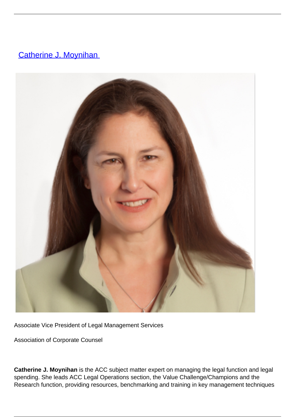## **[Catherine J. Moynihan](/author/catherine-j-moynihan)**



Associate Vice President of Legal Management Services

Association of Corporate Counsel

**Catherine J. Moynihan** is the ACC subject matter expert on managing the legal function and legal spending. She leads ACC Legal Operations section, the Value Challenge/Champions and the Research function, providing resources, benchmarking and training in key management techniques